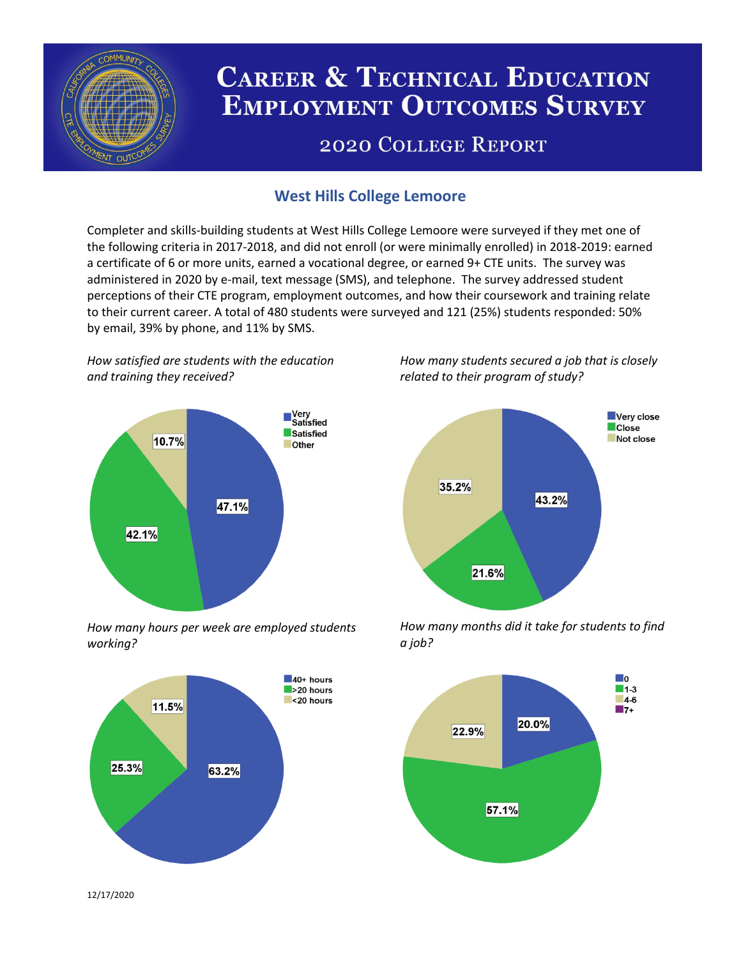

# **CAREER & TECHNICAL EDUCATION EMPLOYMENT OUTCOMES SURVEY**

## **2020 COLLEGE REPORT**

## **West Hills College Lemoore**

Completer and skills-building students at West Hills College Lemoore were surveyed if they met one of the following criteria in 2017-2018, and did not enroll (or were minimally enrolled) in 2018-2019: earned a certificate of 6 or more units, earned a vocational degree, or earned 9+ CTE units. The survey was administered in 2020 by e-mail, text message (SMS), and telephone. The survey addressed student perceptions of their CTE program, employment outcomes, and how their coursework and training relate to their current career. A total of 480 students were surveyed and 121 (25%) students responded: 50% by email, 39% by phone, and 11% by SMS.

*How satisfied are students with the education and training they received?*



*How many hours per week are employed students working?*



*How many students secured a job that is closely related to their program of study?*



*How many months did it take for students to find a job?*